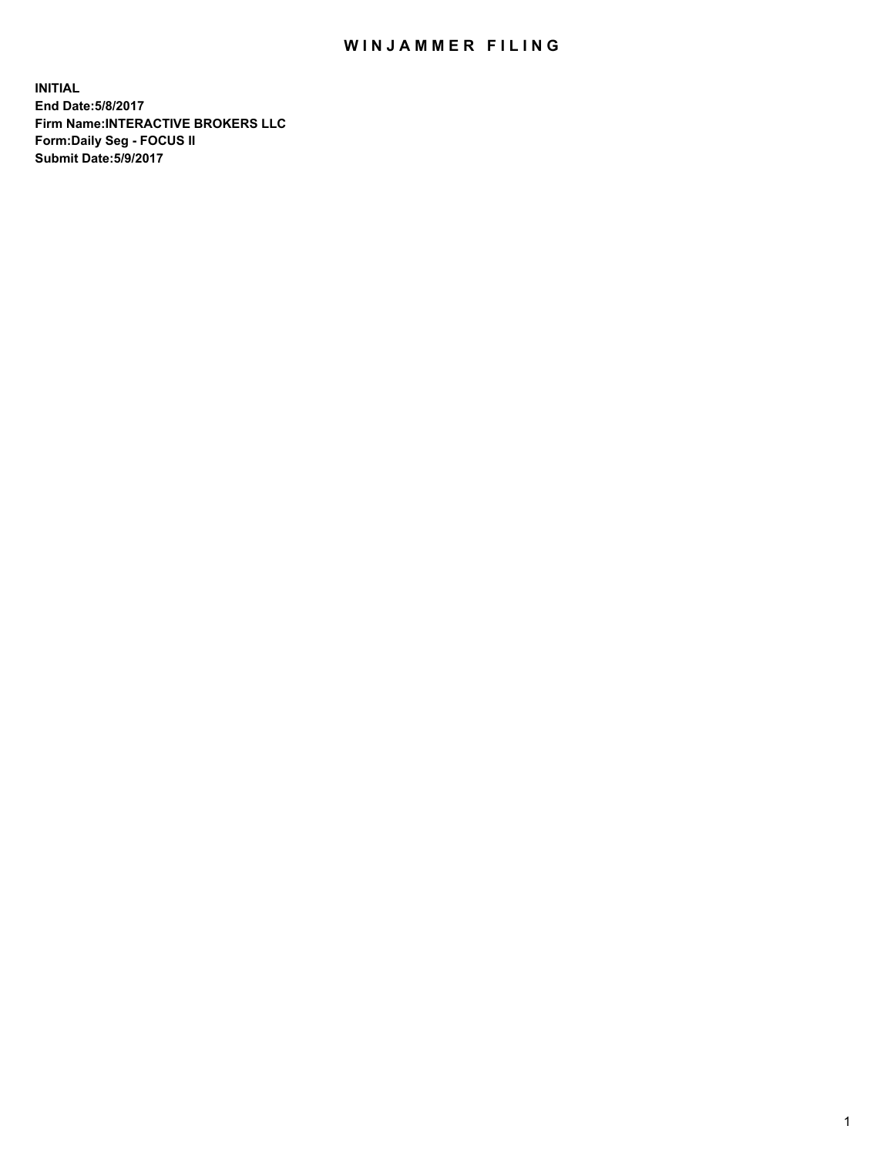## WIN JAMMER FILING

**INITIAL End Date:5/8/2017 Firm Name:INTERACTIVE BROKERS LLC Form:Daily Seg - FOCUS II Submit Date:5/9/2017**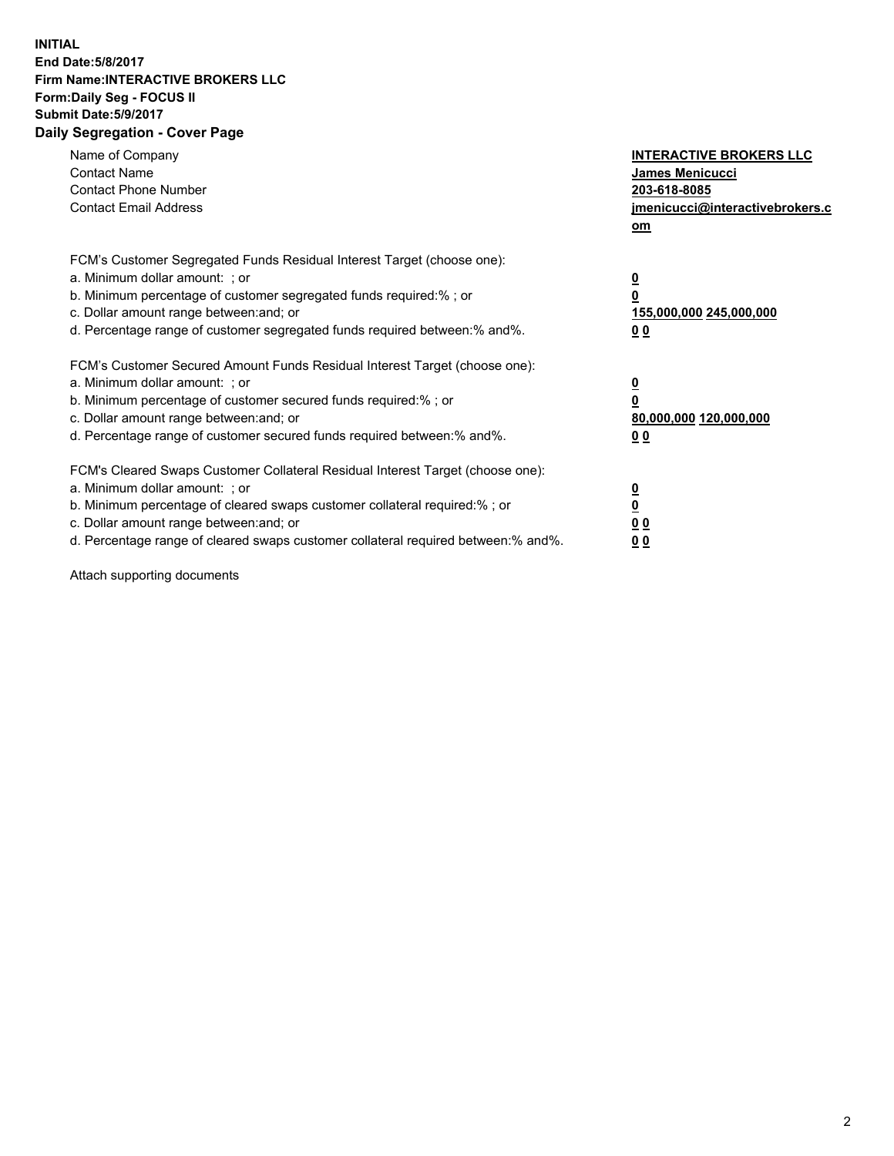## **INITIAL End Date:5/8/2017 Firm Name:INTERACTIVE BROKERS LLC Form:Daily Seg - FOCUS II Submit Date:5/9/2017 Daily Segregation - Cover Page**

| Name of Company<br><b>Contact Name</b><br><b>Contact Phone Number</b><br><b>Contact Email Address</b>                                                                                                                                                                                                                          | <b>INTERACTIVE BROKERS LLC</b><br>James Menicucci<br>203-618-8085<br>jmenicucci@interactivebrokers.c<br>om |
|--------------------------------------------------------------------------------------------------------------------------------------------------------------------------------------------------------------------------------------------------------------------------------------------------------------------------------|------------------------------------------------------------------------------------------------------------|
| FCM's Customer Segregated Funds Residual Interest Target (choose one):<br>a. Minimum dollar amount: ; or<br>b. Minimum percentage of customer segregated funds required:%; or<br>c. Dollar amount range between: and; or<br>d. Percentage range of customer segregated funds required between:% and%.                          | $\overline{\mathbf{0}}$<br>$\overline{\mathbf{0}}$<br>155,000,000 245,000,000<br>00                        |
| FCM's Customer Secured Amount Funds Residual Interest Target (choose one):<br>a. Minimum dollar amount: ; or<br>b. Minimum percentage of customer secured funds required:%; or<br>c. Dollar amount range between: and; or<br>d. Percentage range of customer secured funds required between: % and %.                          | $\overline{\mathbf{0}}$<br>0<br>80,000,000 120,000,000<br>00                                               |
| FCM's Cleared Swaps Customer Collateral Residual Interest Target (choose one):<br>a. Minimum dollar amount: ; or<br>b. Minimum percentage of cleared swaps customer collateral required:% ; or<br>c. Dollar amount range between: and; or<br>d. Percentage range of cleared swaps customer collateral required between:% and%. | $\overline{\mathbf{0}}$<br>$\underline{\mathbf{0}}$<br>0 <sub>0</sub><br>0 <sub>0</sub>                    |

Attach supporting documents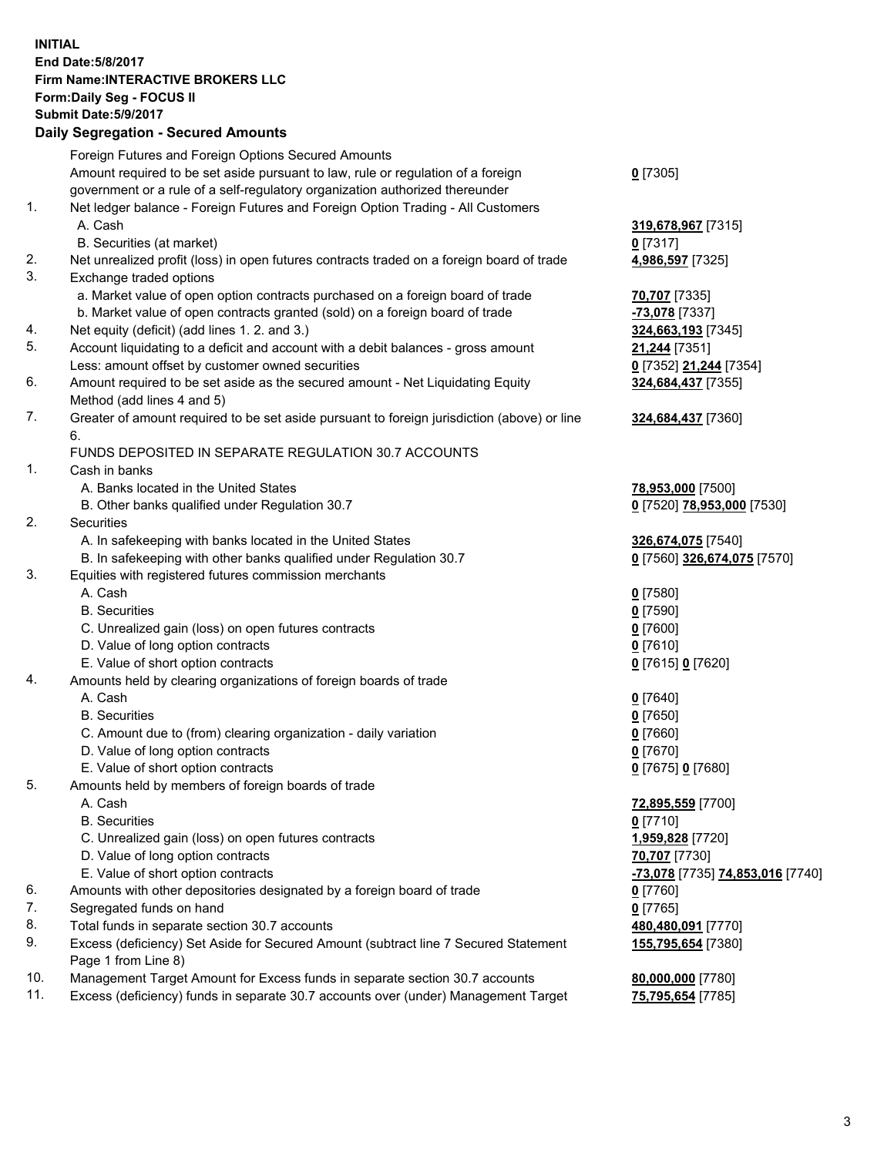## **INITIAL End Date:5/8/2017 Firm Name:INTERACTIVE BROKERS LLC Form:Daily Seg - FOCUS II Submit Date:5/9/2017 Daily Segregation - Secured Amounts**

|     | Foreign Futures and Foreign Options Secured Amounts                                                        |                                  |
|-----|------------------------------------------------------------------------------------------------------------|----------------------------------|
|     | Amount required to be set aside pursuant to law, rule or regulation of a foreign                           | $0$ [7305]                       |
|     | government or a rule of a self-regulatory organization authorized thereunder                               |                                  |
| 1.  | Net ledger balance - Foreign Futures and Foreign Option Trading - All Customers                            |                                  |
|     | A. Cash                                                                                                    | 319,678,967 [7315]               |
|     | B. Securities (at market)                                                                                  | $0$ [7317]                       |
| 2.  | Net unrealized profit (loss) in open futures contracts traded on a foreign board of trade                  | 4,986,597 [7325]                 |
| 3.  | Exchange traded options                                                                                    |                                  |
|     | a. Market value of open option contracts purchased on a foreign board of trade                             | 70,707 [7335]                    |
|     | b. Market value of open contracts granted (sold) on a foreign board of trade                               | -73,078 [7337]                   |
| 4.  | Net equity (deficit) (add lines 1.2. and 3.)                                                               | 324,663,193 [7345]               |
| 5.  | Account liquidating to a deficit and account with a debit balances - gross amount                          | 21,244 [7351]                    |
|     | Less: amount offset by customer owned securities                                                           | 0 [7352] 21,244 [7354]           |
| 6.  | Amount required to be set aside as the secured amount - Net Liquidating Equity                             | 324,684,437 [7355]               |
|     | Method (add lines 4 and 5)                                                                                 |                                  |
| 7.  | Greater of amount required to be set aside pursuant to foreign jurisdiction (above) or line                | 324,684,437 [7360]               |
|     | 6.                                                                                                         |                                  |
|     | FUNDS DEPOSITED IN SEPARATE REGULATION 30.7 ACCOUNTS                                                       |                                  |
| 1.  | Cash in banks                                                                                              |                                  |
|     | A. Banks located in the United States                                                                      | 78,953,000 [7500]                |
|     | B. Other banks qualified under Regulation 30.7                                                             | 0 [7520] 78,953,000 [7530]       |
| 2.  | Securities                                                                                                 |                                  |
|     | A. In safekeeping with banks located in the United States                                                  | 326,674,075 [7540]               |
|     | B. In safekeeping with other banks qualified under Regulation 30.7                                         | 0 [7560] 326,674,075 [7570]      |
| 3.  | Equities with registered futures commission merchants                                                      |                                  |
|     | A. Cash                                                                                                    | $0$ [7580]                       |
|     | <b>B.</b> Securities                                                                                       | $0$ [7590]                       |
|     | C. Unrealized gain (loss) on open futures contracts                                                        | $0$ [7600]                       |
|     | D. Value of long option contracts                                                                          | $0$ [7610]                       |
|     | E. Value of short option contracts                                                                         | 0 [7615] 0 [7620]                |
| 4.  | Amounts held by clearing organizations of foreign boards of trade                                          |                                  |
|     | A. Cash                                                                                                    | $0$ [7640]                       |
|     | <b>B.</b> Securities                                                                                       | $0$ [7650]                       |
|     | C. Amount due to (from) clearing organization - daily variation                                            | $0$ [7660]                       |
|     | D. Value of long option contracts                                                                          | $0$ [7670]                       |
|     | E. Value of short option contracts                                                                         | 0 [7675] 0 [7680]                |
| 5.  | Amounts held by members of foreign boards of trade                                                         |                                  |
|     | A. Cash                                                                                                    | 72,895,559 [7700]                |
|     | <b>B.</b> Securities                                                                                       | $0$ [7710]                       |
|     | C. Unrealized gain (loss) on open futures contracts                                                        | 1,959,828 [7720]                 |
|     | D. Value of long option contracts                                                                          | 70,707 [7730]                    |
|     | E. Value of short option contracts                                                                         | -73,078 [7735] 74,853,016 [7740] |
| 6.  | Amounts with other depositories designated by a foreign board of trade                                     | 0 [7760]                         |
| 7.  | Segregated funds on hand                                                                                   | $0$ [7765]                       |
| 8.  | Total funds in separate section 30.7 accounts                                                              | 480,480,091 [7770]               |
| 9.  | Excess (deficiency) Set Aside for Secured Amount (subtract line 7 Secured Statement<br>Page 1 from Line 8) | 155,795,654 [7380]               |
| 10. | Management Target Amount for Excess funds in separate section 30.7 accounts                                | 80,000,000 [7780]                |
| 11. | Excess (deficiency) funds in separate 30.7 accounts over (under) Management Target                         | 75,795,654 [7785]                |
|     |                                                                                                            |                                  |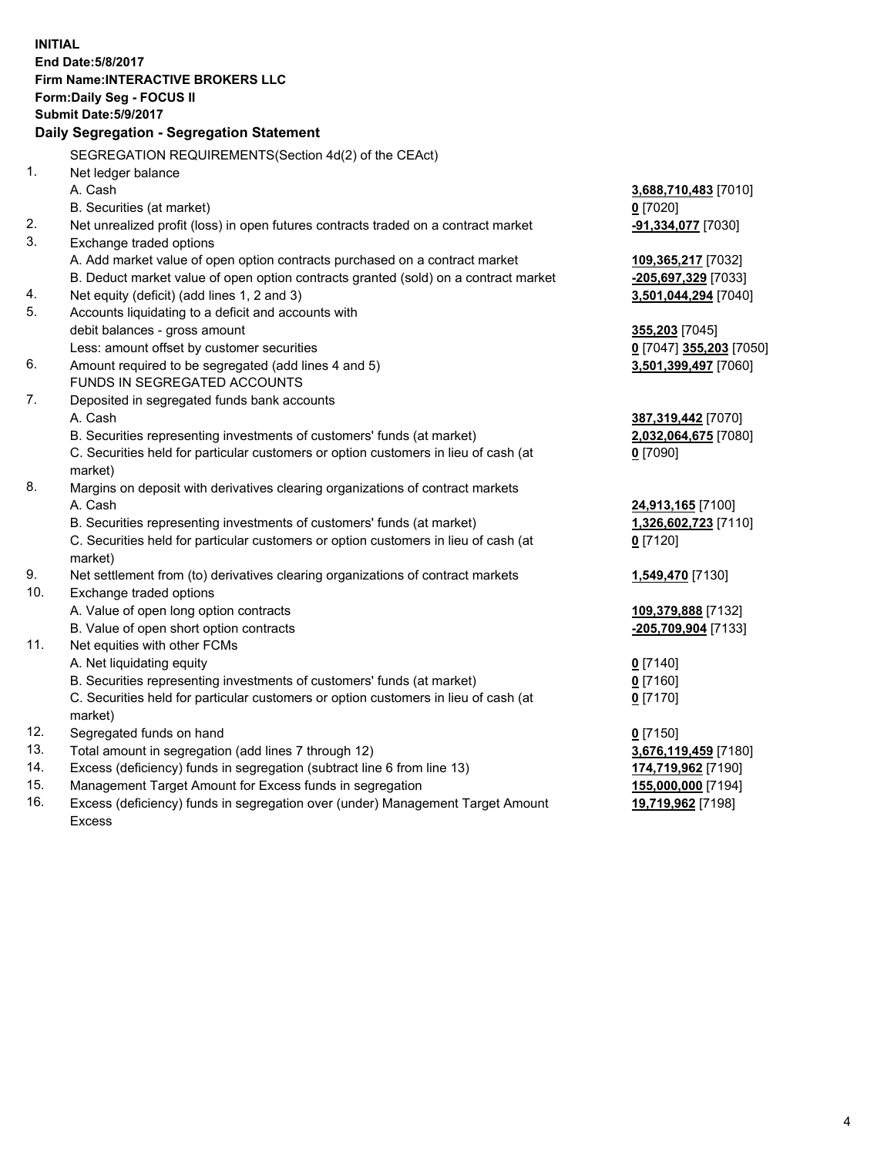**INITIAL End Date:5/8/2017 Firm Name:INTERACTIVE BROKERS LLC Form:Daily Seg - FOCUS II Submit Date:5/9/2017 Daily Segregation - Segregation Statement** SEGREGATION REQUIREMENTS(Section 4d(2) of the CEAct) 1. Net ledger balance A. Cash **3,688,710,483** [7010] B. Securities (at market) **0** [7020] 2. Net unrealized profit (loss) in open futures contracts traded on a contract market **-91,334,077** [7030] 3. Exchange traded options A. Add market value of open option contracts purchased on a contract market **109,365,217** [7032] B. Deduct market value of open option contracts granted (sold) on a contract market **-205,697,329** [7033] 4. Net equity (deficit) (add lines 1, 2 and 3) **3,501,044,294** [7040] 5. Accounts liquidating to a deficit and accounts with debit balances - gross amount **355,203** [7045] Less: amount offset by customer securities **0** [7047] **355,203** [7050] 6. Amount required to be segregated (add lines 4 and 5) **3,501,399,497** [7060] FUNDS IN SEGREGATED ACCOUNTS 7. Deposited in segregated funds bank accounts A. Cash **387,319,442** [7070] B. Securities representing investments of customers' funds (at market) **2,032,064,675** [7080] C. Securities held for particular customers or option customers in lieu of cash (at market) **0** [7090] 8. Margins on deposit with derivatives clearing organizations of contract markets A. Cash **24,913,165** [7100] B. Securities representing investments of customers' funds (at market) **1,326,602,723** [7110] C. Securities held for particular customers or option customers in lieu of cash (at market) **0** [7120] 9. Net settlement from (to) derivatives clearing organizations of contract markets **1,549,470** [7130] 10. Exchange traded options A. Value of open long option contracts **109,379,888** [7132] B. Value of open short option contracts **-205,709,904** [7133] 11. Net equities with other FCMs A. Net liquidating equity **0** [7140] B. Securities representing investments of customers' funds (at market) **0** [7160] C. Securities held for particular customers or option customers in lieu of cash (at market) **0** [7170] 12. Segregated funds on hand **0** [7150] 13. Total amount in segregation (add lines 7 through 12) **3,676,119,459** [7180] 14. Excess (deficiency) funds in segregation (subtract line 6 from line 13) **174,719,962** [7190] 15. Management Target Amount for Excess funds in segregation **155,000,000** [7194] **19,719,962** [7198]

16. Excess (deficiency) funds in segregation over (under) Management Target Amount Excess